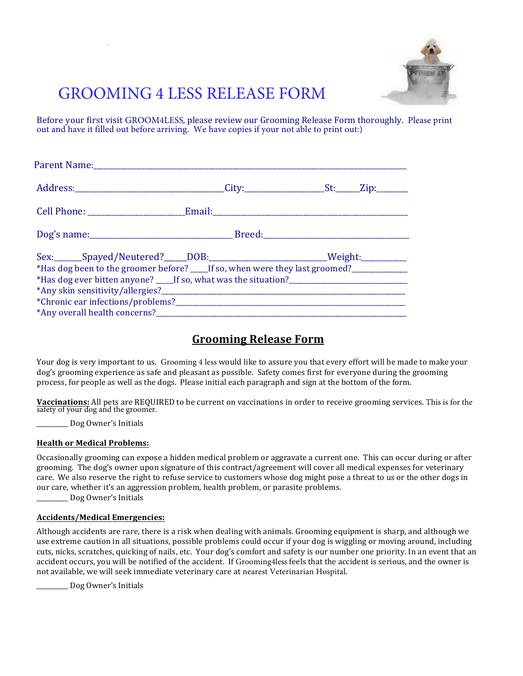

# GROOMING 4 LESS RELEASE FORM

Before your first visit GROOM4LESS, please review our Grooming Release Form thoroughly. Please print out and have it filled out before arriving. We have copies if your not able to print out:)

| Sex:_______Spayed/Neutered?_____DOB:_____________________________Weight:_________        |  |
|------------------------------------------------------------------------------------------|--|
| *Has dog been to the groomer before? ____ If so, when were they last groomed?___________ |  |
| *Has dog ever bitten anyone? 16 So, what was the situation?                              |  |
|                                                                                          |  |
|                                                                                          |  |
|                                                                                          |  |

# **Grooming Release Form**

Your dog is very important to us. Grooming 4 less would like to assure you that every effort will be made to make your dog's grooming experience as safe and pleasant as possible. Safety comes first for everyone during the grooming process, for people as well as the dogs. Please initial each paragraph and sign at the bottom of the form.

Vaccinations: All pets are REQUIRED to be current on vaccinations in order to receive grooming services. This is for the safety of your dog and the groomer.

\_\_\_\_\_\_\_\_\_\_!Dog!Owner's!Initials

#### **Health or Medical Problems:**

Occasionally grooming can expose a hidden medical problem or aggravate a current one. This can occur during or after grooming. The dog's owner upon signature of this contract/agreement will cover all medical expenses for veterinary care. We also reserve the right to refuse service to customers whose dog might pose a threat to us or the other dogs in our care, whether it's an aggression problem, health problem, or parasite problems.

\_ Dog Owner's Initials

#### **Accidents/Medical!Emergencies:!**

Although accidents are rare, there is a risk when dealing with animals. Grooming equipment is sharp, and although we use extreme caution in all situations, possible problems could occur if your dog is wiggling or moving around, including cuts, nicks, scratches, quicking of nails, etc. Your dog's comfort and safety is our number one priority. In an event that an accident occurs, you will be notified of the accident. If Grooming4less feels that the accident is serious, and the owner is not available, we will seek immediate veterinary care at nearest Veterinarian Hospital.

Dog Owner's Initials